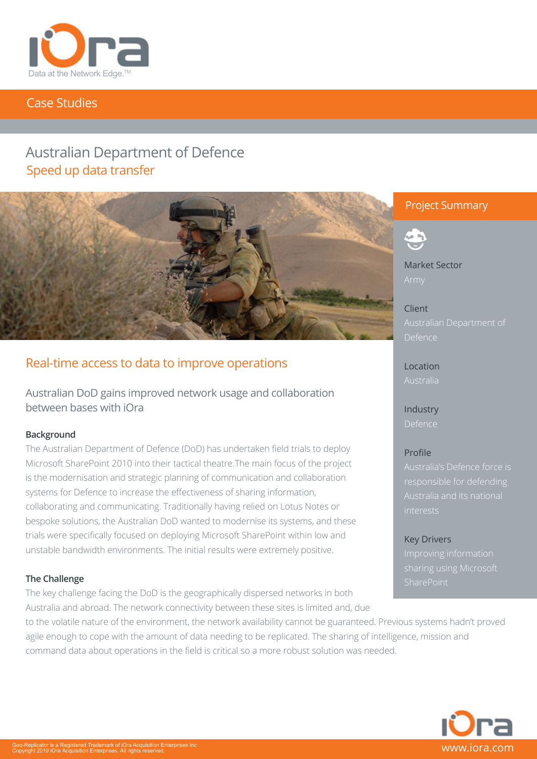

# Case Studies

# Australian Department of Defence Speed up data transfer



# Real-time access to data to improve operations

Australian DoD gains improved network usage and collaboration between bases with iOra

### **Background**

The Australian Department of Defence (DoD) has undertaken field trials to deploy Microsoft SharePoint 2010 into their tactical theatre.The main focus of the project is the modernisation and strategic planning of communication and collaboration systems for Defence to increase the effectiveness of sharing information, collaborating and communicating. Traditionally having relied on Lotus Notes or bespoke solutions, the Australian DoD wanted to modernise its systems, and these trials were specifically focused on deploying Microsoft SharePoint within low and unstable bandwidth environments. The initial results were extremely positive.

## **The Challenge**

The key challenge facing the DoD is the geographically dispersed networks in both Australia and abroad. The network connectivity between these sites is limited and, due

command data about operations in the field is critical so a more robust solution was needed.

to the volatile nature of the environment, the network availability cannot be guaranteed. Previous systems hadn't proved

agile enough to cope with the amount of data needing to be replicated. The sharing of intelligence, mission and

# Project Summary



Market Sector

Client Defence

Location Australia

Industry Defence

# Profile

interests

Key Drivers